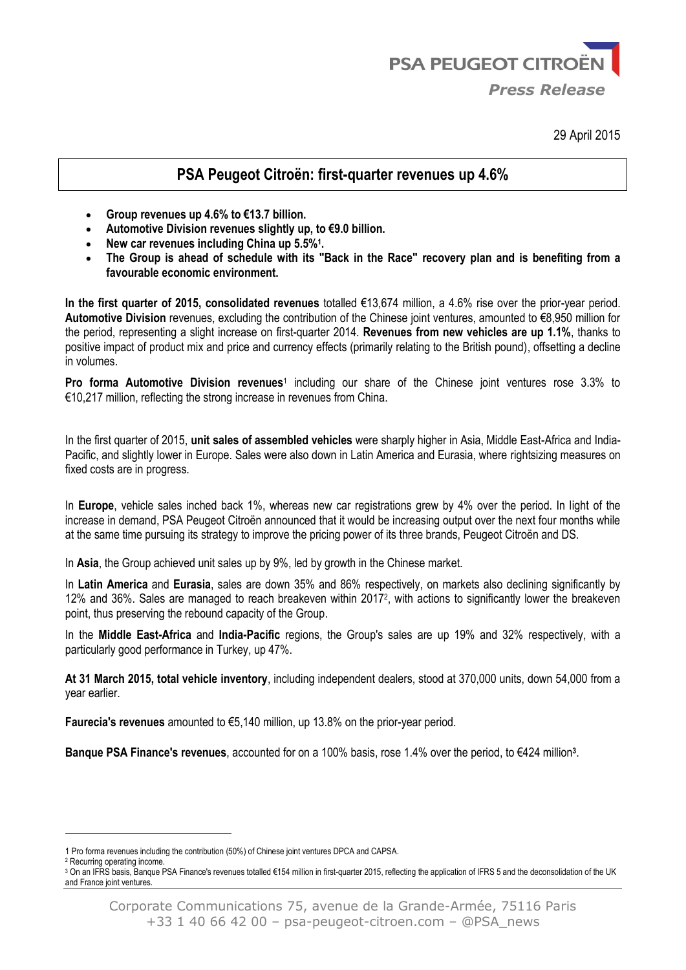

29 April 2015

## **PSA Peugeot Citroën: first-quarter revenues up 4.6%**

- **Group revenues up 4.6% to €13.7 billion.**
- **Automotive Division revenues slightly up, to €9.0 billion.**
- **New car revenues including China up 5.5%<sup>1</sup> .**
- **The Group is ahead of schedule with its "Back in the Race" recovery plan and is benefiting from a favourable economic environment.**

**In the first quarter of 2015, consolidated revenues** totalled €13,674 million, a 4.6% rise over the prior-year period. **Automotive Division** revenues, excluding the contribution of the Chinese joint ventures, amounted to €8,950 million for the period, representing a slight increase on first-quarter 2014. **Revenues from new vehicles are up 1.1%**, thanks to positive impact of product mix and price and currency effects (primarily relating to the British pound), offsetting a decline in volumes.

Pro forma Automotive Division revenues<sup>1</sup> including our share of the Chinese joint ventures rose 3.3% to €10,217 million, reflecting the strong increase in revenues from China.

In the first quarter of 2015, **unit sales of assembled vehicles** were sharply higher in Asia, Middle East-Africa and India-Pacific, and slightly lower in Europe. Sales were also down in Latin America and Eurasia, where rightsizing measures on fixed costs are in progress.

In **Europe**, vehicle sales inched back 1%, whereas new car registrations grew by 4% over the period. In light of the increase in demand, PSA Peugeot Citroën announced that it would be increasing output over the next four months while at the same time pursuing its strategy to improve the pricing power of its three brands, Peugeot Citroën and DS.

In **Asia**, the Group achieved unit sales up by 9%, led by growth in the Chinese market.

In **Latin America** and **Eurasia**, sales are down 35% and 86% respectively, on markets also declining significantly by 12% and 36%. Sales are managed to reach breakeven within 2017<sup>2</sup> , with actions to significantly lower the breakeven point, thus preserving the rebound capacity of the Group.

In the **Middle East-Africa** and **India-Pacific** regions, the Group's sales are up 19% and 32% respectively, with a particularly good performance in Turkey, up 47%.

**At 31 March 2015, total vehicle inventory**, including independent dealers, stood at 370,000 units, down 54,000 from a year earlier.

**Faurecia's revenues** amounted to €5,140 million, up 13.8% on the prior-year period.

**Banque PSA Finance's revenues**, accounted for on a 100% basis, rose 1.4% over the period, to €424 million**<sup>3</sup>** .

-

<sup>1</sup> Pro forma revenues including the contribution (50%) of Chinese joint ventures DPCA and CAPSA.

<sup>2</sup> Recurring operating income.

<sup>3</sup> On an IFRS basis, Banque PSA Finance's revenues totalled €154 million in first-quarter 2015, reflecting the application of IFRS 5 and the deconsolidation of the UK and France joint ventures.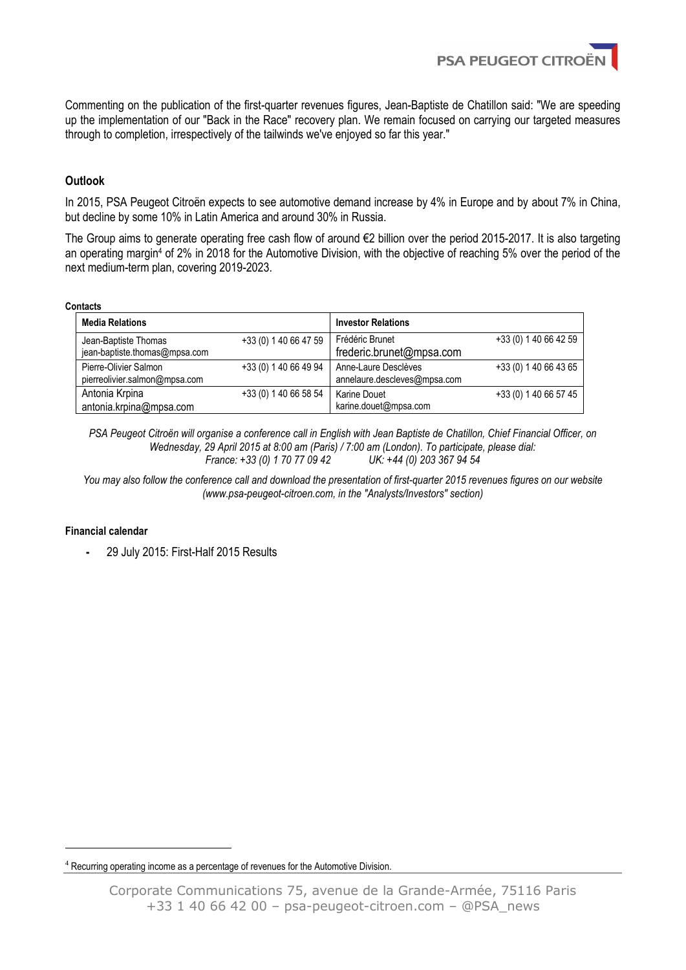

Commenting on the publication of the first-quarter revenues figures, Jean-Baptiste de Chatillon said: "We are speeding up the implementation of our "Back in the Race" recovery plan. We remain focused on carrying our targeted measures through to completion, irrespectively of the tailwinds we've enjoyed so far this year."

## **Outlook**

In 2015, PSA Peugeot Citroën expects to see automotive demand increase by 4% in Europe and by about 7% in China, but decline by some 10% in Latin America and around 30% in Russia.

The Group aims to generate operating free cash flow of around €2 billion over the period 2015-2017. It is also targeting an operating margin<sup>4</sup> of 2% in 2018 for the Automotive Division, with the objective of reaching 5% over the period of the next medium-term plan, covering 2019-2023.

#### **Contacts**

| <b>Media Relations</b>                                 |                       | <b>Investor Relations</b>                            |                       |  |  |  |
|--------------------------------------------------------|-----------------------|------------------------------------------------------|-----------------------|--|--|--|
| Jean-Baptiste Thomas<br>jean-baptiste.thomas@mpsa.com  | +33 (0) 1 40 66 47 59 | Frédéric Brunet<br>frederic.brunet@mpsa.com          | +33 (0) 1 40 66 42 59 |  |  |  |
| Pierre-Olivier Salmon<br>pierreolivier.salmon@mpsa.com | +33 (0) 1 40 66 49 94 | Anne-Laure Desclèves<br>annelaure.descleves@mpsa.com | +33 (0) 1 40 66 43 65 |  |  |  |
| Antonia Krpina<br>antonia.krpina@mpsa.com              | +33 (0) 1 40 66 58 54 | <b>Karine Douet</b><br>karine.douet@mpsa.com         | +33 (0) 1 40 66 57 45 |  |  |  |

*PSA Peugeot Citroën will organise a conference call in English with Jean Baptiste de Chatillon, Chief Financial Officer, on Wednesday, 29 April 2015 at 8:00 am (Paris) / 7:00 am (London). To participate, please dial: France: +33 (0) 1 70 77 09 42* 

*You may also follow the conference call and download the presentation of first-quarter 2015 revenues figures on our website (www.psa-peugeot-citroen.com, in the "Analysts/Investors" section)*

### **Financial calendar**

-

**-** 29 July 2015: First-Half 2015 Results

<sup>4</sup> Recurring operating income as a percentage of revenues for the Automotive Division.